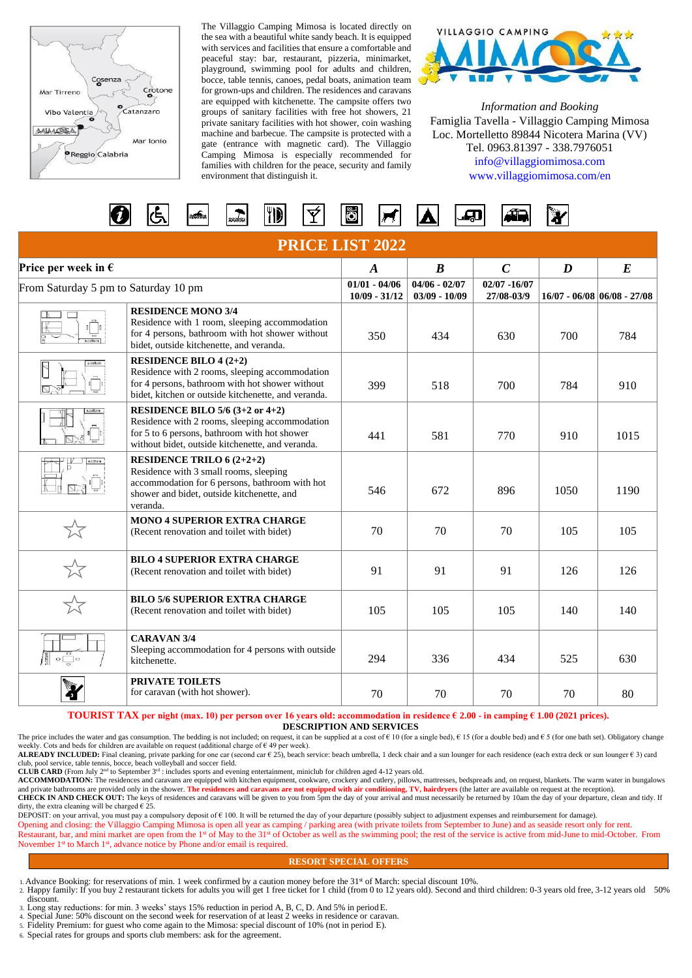

The Villaggio Camping Mimosa is located directly on the sea with a beautiful white sandy beach. It is equipped with services and facilities that ensure a comfortable and peaceful stay: bar, restaurant, pizzeria, minimarket, playground, swimming pool for adults and children, bocce, table tennis, canoes, pedal boats, animation team for grown-ups and children. The residences and caravans are equipped with kitchenette. The campsite offers two groups of sanitary facilities with free hot showers, 21 private sanitary facilities with hot shower, coin washing machine and barbecue. The campsite is protected with a gate (entrance with magnetic card). The Villaggio Camping Mimosa is especially recommended for families with children for the peace, security and family environment that distinguish it.



*Information and Booking* Famiglia Tavella - Villaggio Camping Mimosa Loc. Mortelletto 89844 Nicotera Marina (VV) Tel. 0963.81397 - 338.7976051 [info@villaggiomimosa.com](mailto:info@villaggiomimosa.com) [www.villaggiomimosa.com/en](http://www.villaggiomimosa.com/en)

| $^{\prime\prime\prime}$ id<br>Ö<br>$\sqrt{2}$<br><b>AGGASS</b><br>- - |
|-----------------------------------------------------------------------|
|-----------------------------------------------------------------------|

| <b>PRICE LIST 2022</b>                        |                                                                                                                                                                                                     |                                    |                                    |                               |      |                                |  |  |  |  |
|-----------------------------------------------|-----------------------------------------------------------------------------------------------------------------------------------------------------------------------------------------------------|------------------------------------|------------------------------------|-------------------------------|------|--------------------------------|--|--|--|--|
| Price per week in $\epsilon$                  |                                                                                                                                                                                                     | $\boldsymbol{A}$                   | $\boldsymbol{B}$                   | $\mathcal{C}$                 | D    | $\boldsymbol{E}$               |  |  |  |  |
| From Saturday 5 pm to Saturday 10 pm          |                                                                                                                                                                                                     | $01/01 - 04/06$<br>$10/09 - 31/12$ | $04/06 - 02/07$<br>$03/09 - 10/09$ | $02/07 - 16/07$<br>27/08-03/9 |      | $16/07 - 06/08  06/08 - 27/08$ |  |  |  |  |
| $\sqrt{\frac{m}{n}}$<br>$rac{1}{\cos \theta}$ | <b>RESIDENCE MONO 3/4</b><br>Residence with 1 room, sleeping accommodation<br>for 4 persons, bathroom with hot shower without<br>bidet, outside kitchenette, and veranda.                           | 350                                | 434                                | 630                           | 700  | 784                            |  |  |  |  |
| cottura                                       | RESIDENCE BILO $4(2+2)$<br>Residence with 2 rooms, sleeping accommodation<br>for 4 persons, bathroom with hot shower without<br>bidet, kitchen or outside kitchenette, and veranda.                 | 399                                | 518                                | 700                           | 784  | 910                            |  |  |  |  |
| s.cottura                                     | RESIDENCE BILO $5/6$ (3+2 or 4+2)<br>Residence with 2 rooms, sleeping accommodation<br>for 5 to 6 persons, bathroom with hot shower<br>without bidet, outside kitchenette, and veranda.             | 441                                | 581                                | 770                           | 910  | 1015                           |  |  |  |  |
|                                               | <b>RESIDENCE TRILO 6 <math>(2+2+2)</math></b><br>Residence with 3 small rooms, sleeping<br>accommodation for 6 persons, bathroom with hot<br>shower and bidet, outside kitchenette, and<br>veranda. | 546                                | 672                                | 896                           | 1050 | 1190                           |  |  |  |  |
| ざ                                             | <b>MONO 4 SUPERIOR EXTRA CHARGE</b><br>(Recent renovation and toilet with bidet)                                                                                                                    | 70                                 | 70                                 | 70                            | 105  | 105                            |  |  |  |  |
|                                               | <b>BILO 4 SUPERIOR EXTRA CHARGE</b><br>(Recent renovation and toilet with bidet)                                                                                                                    | 91                                 | 91                                 | 91                            | 126  | 126                            |  |  |  |  |
|                                               | <b>BILO 5/6 SUPERIOR EXTRA CHARGE</b><br>(Recent renovation and toilet with bidet)                                                                                                                  | 105                                | 105                                | 105                           | 140  | 140                            |  |  |  |  |
| $\circ \Box \circ$                            | <b>CARAVAN 3/4</b><br>Sleeping accommodation for 4 persons with outside<br>kitchenette.                                                                                                             | 294                                | 336                                | 434                           | 525  | 630                            |  |  |  |  |
|                                               | <b>PRIVATE TOILETS</b><br>for caravan (with hot shower).                                                                                                                                            | 70                                 | 70                                 | 70                            | 70   | 80                             |  |  |  |  |

**TOURIST TAX per night (max. 10) per person over 16 years old: accommodation in residence € 2.00 - in camping € 1.00 (2021 prices).**

**DESCRIPTION AND SERVICES**

The price includes the water and gas consumption. The bedding is not included; on request, it can be supplied at a cost of  $\epsilon$  10 (for a single bed),  $\epsilon$  15 (for a double bed) and  $\epsilon$  5 (for one bath set). Obligatory ch weekly. Cots and beds for children are available on request (additional charge of  $\epsilon$  49 per week).

ALREADY INCLUDED: Final cleaning, private parking for one car (second car € 25), beach service: beach umbrella, 1 deck chair and a sun lounger for each residence (each extra deck or sun lounger € 3) card club, pool service, table tennis, bocce, beach volleyball and soccer field.

**CLUB CARD** (From July 2<sup>nd</sup> to September 3<sup>rd</sup>: includes sports and evening entertainment, miniclub for children aged 4-12 years old.

**ACCOMMODATION:** The residences and caravans are equipped with kitchen equipment, cookware, crockery and cutlery, pillows, mattresses, bedspreads and, on request, blankets. The warm water in bungalows<br>and private bathrooms **CHECK IN AND CHECK OUT:** The keys of residences and caravans will be given to you from 5pm the day of your arrival and must necessarily be returned by 10am the day of your departure, clean and tidy. If dirty, the extra cleaning will be charged  $\epsilon$  25.

DEPOSIT: on your arrival, you must pay a compulsory deposit of € 100. It will be returned the day of your departure (possibly subject to adjustment expenses and reimbursement for damage). Opening and closing: the Villaggio Camping Mimosa is open all year as camping / parking area (with private toilets from September to June) and as seaside resort only for rent. Restaurant, bar, and mini market are open from the 1<sup>st</sup> of May to the 31<sup>st</sup> of October as well as the swimming pool; the rest of the service is active from mid-June to mid-October. From November 1<sup>st</sup> to March 1<sup>st</sup>, advance notice by Phone and/or email is required.

## **RESORT SPECIAL OFFERS**

- 
- 1. Advance Booking: for reservations of min. 1 week confirmed by a caution money before the 31<sup>st</sup> of March: special discount 10%.<br>2. Happy family: If you buy 2 restaurant tickets for adults you will get 1 free ticket for discount.
- 3. Long stay reductions: for min. 3 weeks' stays 15% reduction in period A, B, C, D. And 5% in periodE. 4. Special June: 50% discount on the second week for reservation of at least 2 weeks in residence or caravan.
- 5. Fidelity Premium: for guest who come again to the Mimosa: special discount of 10% (not in period E).
- 6. Special rates for groups and sports club members: ask for the agreement.